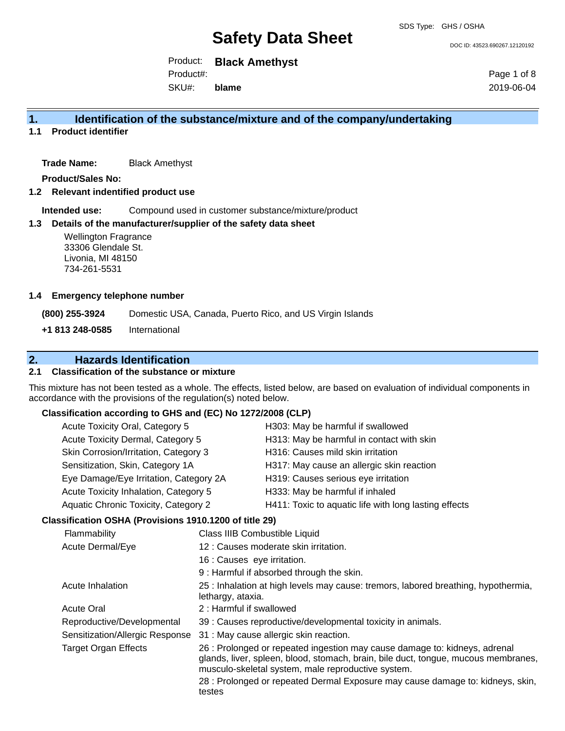DOC ID: 43523.690267.12120192

Product: **Black Amethyst** SKU#: Product#: **blame**

Page 1 of 8 2019-06-04

## **1. Identification of the substance/mixture and of the company/undertaking**

**1.1 Product identifier**

**Trade Name:** Black Amethyst

**Product/Sales No:**

**1.2 Relevant indentified product use**

**Intended use:** Compound used in customer substance/mixture/product

## **1.3 Details of the manufacturer/supplier of the safety data sheet**

### **1.4 Emergency telephone number**

## **2. Hazards Identification**

## **2.1 Classification of the substance or mixture**

## **Classification according to GHS and (EC) No 1272/2008 (CLP)**

| <b>Wellington Fragrance</b><br>33306 Glendale St.<br>Livonia, MI 48150<br>734-261-5531 |                                                   |                                                                                                                                                                                                                        |
|----------------------------------------------------------------------------------------|---------------------------------------------------|------------------------------------------------------------------------------------------------------------------------------------------------------------------------------------------------------------------------|
| <b>Emergency telephone number</b>                                                      |                                                   |                                                                                                                                                                                                                        |
| (800) 255-3924                                                                         |                                                   | Domestic USA, Canada, Puerto Rico, and US Virgin Islands                                                                                                                                                               |
| +1 813 248-0585                                                                        | International                                     |                                                                                                                                                                                                                        |
|                                                                                        |                                                   |                                                                                                                                                                                                                        |
| <b>Hazards Identification</b>                                                          |                                                   |                                                                                                                                                                                                                        |
|                                                                                        | <b>Classification of the substance or mixture</b> |                                                                                                                                                                                                                        |
| cordance with the provisions of the regulation(s) noted below.                         |                                                   | s mixture has not been tested as a whole. The effects, listed below, are based on evaluation of individual components in                                                                                               |
| Classification according to GHS and (EC) No 1272/2008 (CLP)                            |                                                   |                                                                                                                                                                                                                        |
| Acute Toxicity Oral, Category 5                                                        |                                                   | H303: May be harmful if swallowed                                                                                                                                                                                      |
| Acute Toxicity Dermal, Category 5                                                      |                                                   | H313: May be harmful in contact with skin                                                                                                                                                                              |
| Skin Corrosion/Irritation, Category 3                                                  |                                                   | H316: Causes mild skin irritation                                                                                                                                                                                      |
| Sensitization, Skin, Category 1A                                                       |                                                   | H317: May cause an allergic skin reaction                                                                                                                                                                              |
| Eye Damage/Eye Irritation, Category 2A                                                 |                                                   | H319: Causes serious eye irritation                                                                                                                                                                                    |
| Acute Toxicity Inhalation, Category 5                                                  |                                                   | H333: May be harmful if inhaled                                                                                                                                                                                        |
| Aquatic Chronic Toxicity, Category 2                                                   |                                                   | H411: Toxic to aquatic life with long lasting effects                                                                                                                                                                  |
| Classification OSHA (Provisions 1910.1200 of title 29)                                 |                                                   |                                                                                                                                                                                                                        |
| Flammability                                                                           |                                                   | Class IIIB Combustible Liquid                                                                                                                                                                                          |
| Acute Dermal/Eye                                                                       |                                                   | 12 : Causes moderate skin irritation.                                                                                                                                                                                  |
|                                                                                        |                                                   | 16 : Causes eye irritation.                                                                                                                                                                                            |
|                                                                                        |                                                   | 9 : Harmful if absorbed through the skin.                                                                                                                                                                              |
| Acute Inhalation                                                                       |                                                   | 25 : Inhalation at high levels may cause: tremors, labored breathing, hypothermia,<br>lethargy, ataxia.                                                                                                                |
| <b>Acute Oral</b>                                                                      |                                                   | 2: Harmful if swallowed                                                                                                                                                                                                |
| Reproductive/Developmental                                                             |                                                   | 39 : Causes reproductive/developmental toxicity in animals.                                                                                                                                                            |
| Sensitization/Allergic Response                                                        |                                                   | 31 : May cause allergic skin reaction.                                                                                                                                                                                 |
| <b>Target Organ Effects</b>                                                            |                                                   | 26 : Prolonged or repeated ingestion may cause damage to: kidneys, adrenal<br>glands, liver, spleen, blood, stomach, brain, bile duct, tongue, mucous membranes,<br>musculo-skeletal system, male reproductive system. |
|                                                                                        | testes                                            | 28 : Prolonged or repeated Dermal Exposure may cause damage to: kidneys, skin,                                                                                                                                         |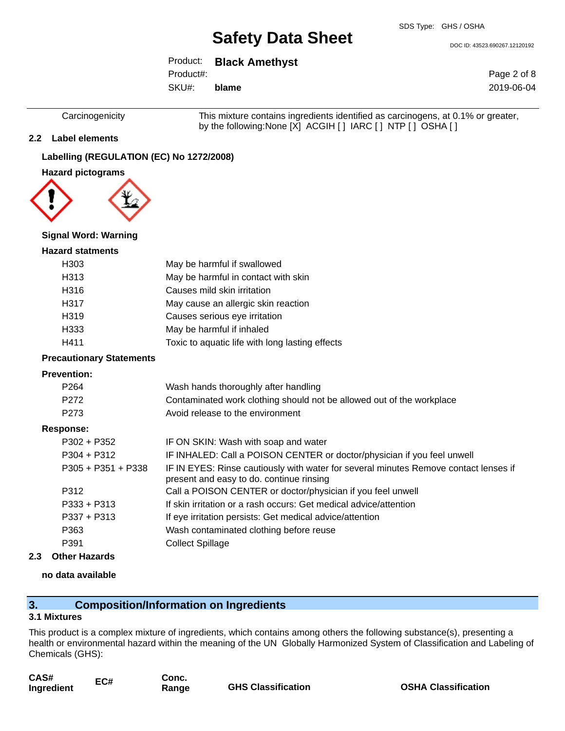DOC ID: 43523.690267.12120192

Product: **Black Amethyst** SKU#: Product#: **blame**

Page 2 of 8 2019-06-04

Carcinogenicity This mixture contains ingredients identified as carcinogens, at 0.1% or greater, by the following:None [X] ACGIH [ ] IARC [ ] NTP [ ] OSHA [ ]

## **2.2 Label elements**

## **Labelling (REGULATION (EC) No 1272/2008)**

**Hazard pictograms**



#### **Signal Word: Warning**

#### **Hazard statments**

| H <sub>303</sub> | May be harmful if swallowed                     |
|------------------|-------------------------------------------------|
| H313             | May be harmful in contact with skin             |
| H316             | Causes mild skin irritation                     |
| H317             | May cause an allergic skin reaction             |
| H319             | Causes serious eye irritation                   |
| H333             | May be harmful if inhaled                       |
| H411             | Toxic to aquatic life with long lasting effects |

#### **Precautionary Statements**

#### **Prevention:**

| P <sub>264</sub>     | Wash hands thoroughly after handling                                                                                             |
|----------------------|----------------------------------------------------------------------------------------------------------------------------------|
| P <sub>272</sub>     | Contaminated work clothing should not be allowed out of the workplace                                                            |
| P <sub>273</sub>     | Avoid release to the environment                                                                                                 |
| Response:            |                                                                                                                                  |
| $P302 + P352$        | IF ON SKIN: Wash with soap and water                                                                                             |
| $P304 + P312$        | IF INHALED: Call a POISON CENTER or doctor/physician if you feel unwell                                                          |
| $P305 + P351 + P338$ | IF IN EYES: Rinse cautiously with water for several minutes Remove contact lenses if<br>present and easy to do. continue rinsing |
| P312                 | Call a POISON CENTER or doctor/physician if you feel unwell                                                                      |
| $P333 + P313$        | If skin irritation or a rash occurs: Get medical advice/attention                                                                |
| $P337 + P313$        | If eye irritation persists: Get medical advice/attention                                                                         |
| P363                 | Wash contaminated clothing before reuse                                                                                          |
| P391                 | <b>Collect Spillage</b>                                                                                                          |

**2.3 Other Hazards**

## **no data available**

## **3. Composition/Information on Ingredients**

#### **3.1 Mixtures**

This product is a complex mixture of ingredients, which contains among others the following substance(s), presenting a health or environmental hazard within the meaning of the UN Globally Harmonized System of Classification and Labeling of Chemicals (GHS):

| CAS#       | EC# |
|------------|-----|
| Ingredient |     |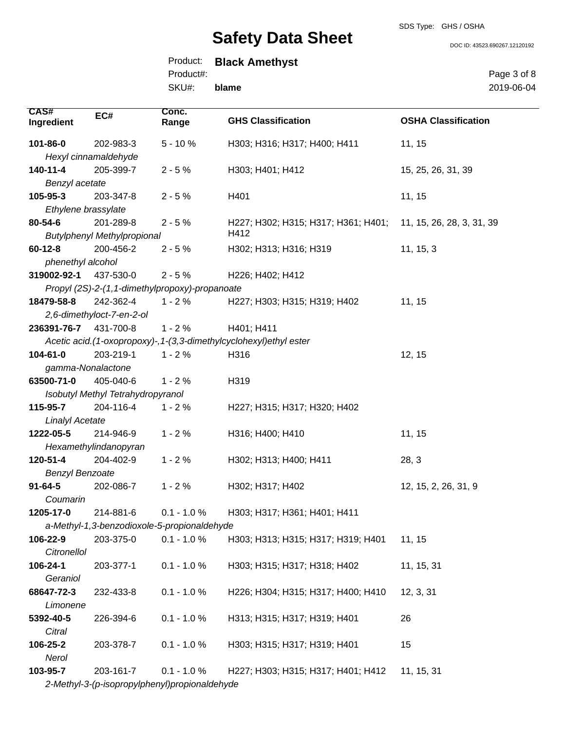SDS Type: GHS / OSHA

DOC ID: 43523.690267.12120192

## Product: **Black Amethyst** Product#:

SKU#: **blame** Page 3 of 8 2019-06-04

| <b>CAS#</b>            | EC#                                | Conc.                                          |                                                                    |                            |
|------------------------|------------------------------------|------------------------------------------------|--------------------------------------------------------------------|----------------------------|
| Ingredient             |                                    | Range                                          | <b>GHS Classification</b>                                          | <b>OSHA Classification</b> |
| 101-86-0               | 202-983-3                          | $5 - 10%$                                      | H303; H316; H317; H400; H411                                       | 11, 15                     |
|                        | Hexyl cinnamaldehyde               |                                                |                                                                    |                            |
| 140-11-4               | 205-399-7                          | $2 - 5%$                                       | H303; H401; H412                                                   | 15, 25, 26, 31, 39         |
| Benzyl acetate         |                                    |                                                |                                                                    |                            |
| 105-95-3               | 203-347-8                          | $2 - 5%$                                       | H401                                                               | 11, 15                     |
| Ethylene brassylate    |                                    |                                                |                                                                    |                            |
| 80-54-6                | 201-289-8                          | $2 - 5%$                                       | H227; H302; H315; H317; H361; H401;                                | 11, 15, 26, 28, 3, 31, 39  |
|                        | <b>Butylphenyl Methylpropional</b> |                                                | H412                                                               |                            |
| $60 - 12 - 8$          | 200-456-2                          | $2 - 5%$                                       | H302; H313; H316; H319                                             | 11, 15, 3                  |
| phenethyl alcohol      |                                    |                                                |                                                                    |                            |
| 319002-92-1            | 437-530-0                          | $2 - 5%$                                       | H226; H402; H412                                                   |                            |
|                        |                                    | Propyl (2S)-2-(1,1-dimethylpropoxy)-propanoate |                                                                    |                            |
| 18479-58-8             | 242-362-4                          | $1 - 2%$                                       | H227; H303; H315; H319; H402                                       | 11, 15                     |
|                        | 2,6-dimethyloct-7-en-2-ol          |                                                |                                                                    |                            |
| 236391-76-7            | 431-700-8                          | $1 - 2%$                                       | H401; H411                                                         |                            |
|                        |                                    |                                                | Acetic acid.(1-oxopropoxy)-, 1-(3,3-dimethylcyclohexyl)ethyl ester |                            |
| 104-61-0               | 203-219-1                          | $1 - 2%$                                       | H316                                                               | 12, 15                     |
| gamma-Nonalactone      |                                    |                                                |                                                                    |                            |
| 63500-71-0             | 405-040-6                          | $1 - 2%$                                       | H319                                                               |                            |
|                        | Isobutyl Methyl Tetrahydropyranol  |                                                |                                                                    |                            |
| 115-95-7               | 204-116-4                          | $1 - 2%$                                       | H227; H315; H317; H320; H402                                       |                            |
| <b>Linalyl Acetate</b> |                                    |                                                |                                                                    |                            |
| 1222-05-5              | 214-946-9                          | $1 - 2%$                                       | H316; H400; H410                                                   | 11, 15                     |
|                        | Hexamethylindanopyran              |                                                |                                                                    |                            |
| 120-51-4               | 204-402-9                          | $1 - 2%$                                       | H302; H313; H400; H411                                             | 28, 3                      |
| <b>Benzyl Benzoate</b> |                                    |                                                |                                                                    |                            |
| $91 - 64 - 5$          | 202-086-7                          | $1 - 2%$                                       | H302; H317; H402                                                   | 12, 15, 2, 26, 31, 9       |
| Coumarin               |                                    |                                                |                                                                    |                            |
| 1205-17-0              | 214-881-6                          | $0.1 - 1.0 %$                                  | H303; H317; H361; H401; H411                                       |                            |
|                        |                                    | a-Methyl-1,3-benzodioxole-5-propionaldehyde    |                                                                    |                            |
| 106-22-9               | 203-375-0                          | $0.1 - 1.0 %$                                  | H303; H313; H315; H317; H319; H401                                 | 11, 15                     |
| Citronellol            |                                    |                                                |                                                                    |                            |
| 106-24-1               | 203-377-1                          | $0.1 - 1.0 %$                                  | H303; H315; H317; H318; H402                                       | 11, 15, 31                 |
| Geraniol               |                                    |                                                |                                                                    |                            |
| 68647-72-3             | 232-433-8                          | $0.1 - 1.0 \%$                                 | H226; H304; H315; H317; H400; H410                                 | 12, 3, 31                  |
| Limonene               |                                    |                                                |                                                                    |                            |
| 5392-40-5              | 226-394-6                          | $0.1 - 1.0 %$                                  | H313; H315; H317; H319; H401                                       | 26                         |
| Citral                 |                                    |                                                |                                                                    |                            |
| 106-25-2               | 203-378-7                          | $0.1 - 1.0 %$                                  | H303; H315; H317; H319; H401                                       | 15                         |
| Nerol                  |                                    |                                                |                                                                    |                            |
| 103-95-7               | 203-161-7                          | $0.1 - 1.0 %$                                  | H227; H303; H315; H317; H401; H412                                 | 11, 15, 31                 |
|                        |                                    | 2-Methyl-3-(p-isopropylphenyl)propionaldehyde  |                                                                    |                            |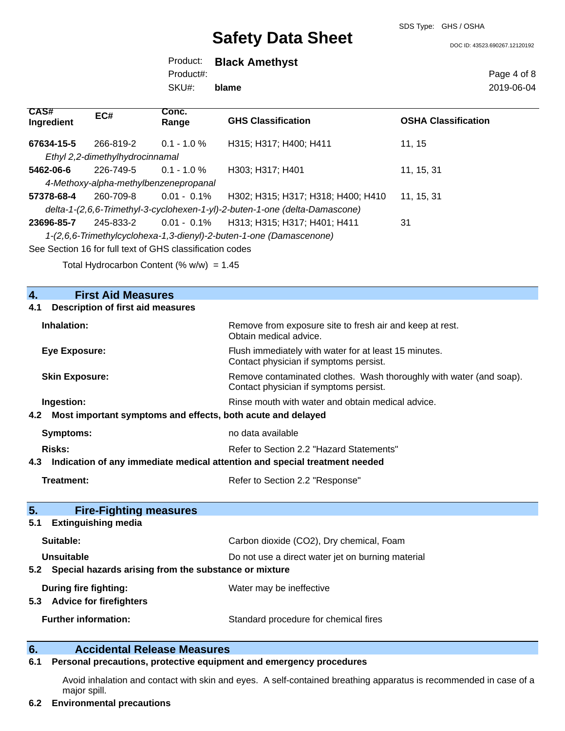SDS Type: GHS / OSHA

DOC ID: 43523.690267.12120192

Product: **Black Amethyst** SKU#: Product#: **blame**

Page 4 of 8 2019-06-04

| CAS#<br>Ingredient | EC#                                   | Conc.<br>Range                                           | <b>GHS Classification</b>                                                   | <b>OSHA Classification</b> |
|--------------------|---------------------------------------|----------------------------------------------------------|-----------------------------------------------------------------------------|----------------------------|
| 67634-15-5         | 266-819-2                             | $0.1 - 1.0 \%$                                           | H315: H317: H400: H411                                                      | 11.15                      |
|                    | Ethyl 2,2-dimethylhydrocinnamal       |                                                          |                                                                             |                            |
| 5462-06-6          | 226-749-5                             | $0.1 - 1.0 \%$                                           | H303; H317; H401                                                            | 11, 15, 31                 |
|                    | 4-Methoxy-alpha-methylbenzenepropanal |                                                          |                                                                             |                            |
| 57378-68-4         | 260-709-8                             | $0.01 - 0.1\%$                                           | H302: H315: H317: H318: H400: H410                                          | 11, 15, 31                 |
|                    |                                       |                                                          | delta-1-(2,6,6-Trimethyl-3-cyclohexen-1-yl)-2-buten-1-one (delta-Damascone) |                            |
| 23696-85-7         | 245-833-2                             |                                                          | 0.01 - 0.1% H313; H315; H317; H401; H411                                    | 31                         |
|                    |                                       |                                                          | 1-(2,6,6-Trimethylcyclohexa-1,3-dienyl)-2-buten-1-one (Damascenone)         |                            |
|                    |                                       | See Section 16 for full text of GHS classification codes |                                                                             |                            |

Total Hydrocarbon Content (%  $w/w$ ) = 1.45

| $\overline{4}$ .<br><b>First Aid Measures</b>                                     |                                                                                                               |
|-----------------------------------------------------------------------------------|---------------------------------------------------------------------------------------------------------------|
| <b>Description of first aid measures</b><br>4.1                                   |                                                                                                               |
| Inhalation:                                                                       | Remove from exposure site to fresh air and keep at rest.<br>Obtain medical advice.                            |
| Eye Exposure:                                                                     | Flush immediately with water for at least 15 minutes.<br>Contact physician if symptoms persist.               |
| <b>Skin Exposure:</b>                                                             | Remove contaminated clothes. Wash thoroughly with water (and soap).<br>Contact physician if symptoms persist. |
| Ingestion:                                                                        | Rinse mouth with water and obtain medical advice.                                                             |
| Most important symptoms and effects, both acute and delayed<br>4.2                |                                                                                                               |
| <b>Symptoms:</b>                                                                  | no data available                                                                                             |
| Risks:                                                                            | Refer to Section 2.2 "Hazard Statements"                                                                      |
| Indication of any immediate medical attention and special treatment needed<br>4.3 |                                                                                                               |
| <b>Treatment:</b>                                                                 | Refer to Section 2.2 "Response"                                                                               |
| 5.<br><b>Fire-Fighting measures</b>                                               |                                                                                                               |
| <b>Extinguishing media</b><br>5.1                                                 |                                                                                                               |
| Suitable:                                                                         | Carbon dioxide (CO2), Dry chemical, Foam                                                                      |
| Unsuitable                                                                        | Do not use a direct water jet on burning material                                                             |
| Special hazards arising from the substance or mixture<br>5.2                      |                                                                                                               |
| During fire fighting:<br><b>Advice for firefighters</b><br>5.3                    | Water may be ineffective                                                                                      |
| <b>Further information:</b>                                                       | Standard procedure for chemical fires                                                                         |
| <b>Accidental Release Measures</b><br>6.                                          |                                                                                                               |

### **6.1 Personal precautions, protective equipment and emergency procedures**

Avoid inhalation and contact with skin and eyes. A self-contained breathing apparatus is recommended in case of a major spill.

## **6.2 Environmental precautions**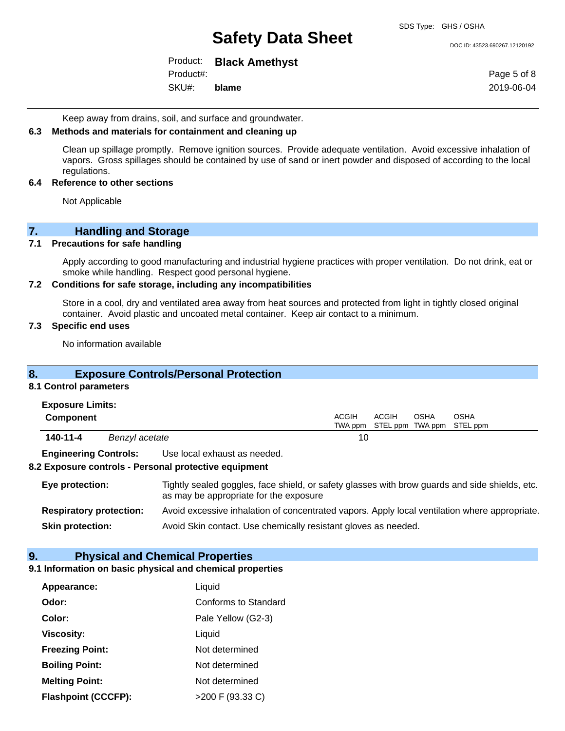DOC ID: 43523.690267.12120192

Product: **Black Amethyst** Product#:

SKU#: **blame** Page 5 of 8 2019-06-04

Keep away from drains, soil, and surface and groundwater.

#### **6.3 Methods and materials for containment and cleaning up**

Clean up spillage promptly. Remove ignition sources. Provide adequate ventilation. Avoid excessive inhalation of vapors. Gross spillages should be contained by use of sand or inert powder and disposed of according to the local regulations.

#### **6.4 Reference to other sections**

Not Applicable

## **7. Handling and Storage**

### **7.1 Precautions for safe handling**

Apply according to good manufacturing and industrial hygiene practices with proper ventilation. Do not drink, eat or smoke while handling. Respect good personal hygiene.

### **7.2 Conditions for safe storage, including any incompatibilities**

Store in a cool, dry and ventilated area away from heat sources and protected from light in tightly closed original container. Avoid plastic and uncoated metal container. Keep air contact to a minimum.

## **7.3 Specific end uses**

No information available

## **8. Exposure Controls/Personal Protection**

### **8.1 Control parameters**

| <b>Exposure Limits:</b> |  |
|-------------------------|--|
|-------------------------|--|

| Component |                | ACGIH | ACGIH | OSHA | OSHA<br>TWA ppm STEL ppm TWA ppm STEL ppm |  |
|-----------|----------------|-------|-------|------|-------------------------------------------|--|
| 140-11-4  | Benzyl acetate |       |       |      |                                           |  |

**Engineering Controls:** Use local exhaust as needed.

#### **8.2 Exposure controls - Personal protective equipment**

| Eye protection:                | Tightly sealed goggles, face shield, or safety glasses with brow guards and side shields, etc.<br>as may be appropriate for the exposure |
|--------------------------------|------------------------------------------------------------------------------------------------------------------------------------------|
| <b>Respiratory protection:</b> | Avoid excessive inhalation of concentrated vapors. Apply local ventilation where appropriate.                                            |
| <b>Skin protection:</b>        | Avoid Skin contact. Use chemically resistant gloves as needed.                                                                           |

## **9. Physical and Chemical Properties**

## **9.1 Information on basic physical and chemical properties**

| Appearance:                | Liquid               |
|----------------------------|----------------------|
| Odor:                      | Conforms to Standard |
| Color:                     | Pale Yellow (G2-3)   |
| <b>Viscosity:</b>          | Liquid               |
| <b>Freezing Point:</b>     | Not determined       |
| <b>Boiling Point:</b>      | Not determined       |
| <b>Melting Point:</b>      | Not determined       |
| <b>Flashpoint (CCCFP):</b> | >200 F (93.33 C)     |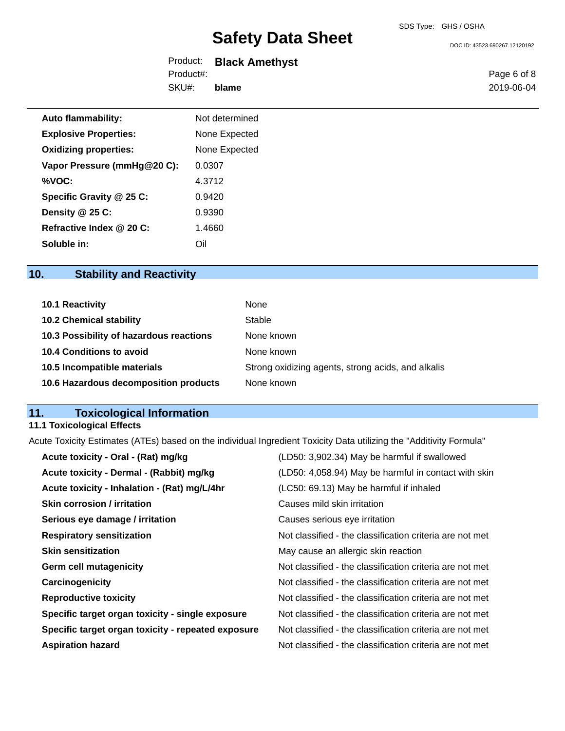DOC ID: 43523.690267.12120192

| Product:  | <b>Black Amethyst</b> |
|-----------|-----------------------|
| Product#: |                       |
| SKU#:     | blame                 |

Page 6 of 8 2019-06-04

| Not determined |
|----------------|
| None Expected  |
| None Expected  |
| 0.0307         |
| 4.3712         |
| 0.9420         |
| 0.9390         |
| 1.4660         |
| ∩il            |
|                |

## **10. Stability and Reactivity**

| 10.1 Reactivity                         | None                                               |
|-----------------------------------------|----------------------------------------------------|
| <b>10.2 Chemical stability</b>          | Stable                                             |
| 10.3 Possibility of hazardous reactions | None known                                         |
| <b>10.4 Conditions to avoid</b>         | None known                                         |
| 10.5 Incompatible materials             | Strong oxidizing agents, strong acids, and alkalis |
| 10.6 Hazardous decomposition products   | None known                                         |

## **11. Toxicological Information**

## **11.1 Toxicological Effects**

Acute Toxicity Estimates (ATEs) based on the individual Ingredient Toxicity Data utilizing the "Additivity Formula"

| Acute toxicity - Oral - (Rat) mg/kg                | (LD50: 3,902.34) May be harmful if swallowed             |
|----------------------------------------------------|----------------------------------------------------------|
| Acute toxicity - Dermal - (Rabbit) mg/kg           | (LD50: 4,058.94) May be harmful in contact with skin     |
| Acute toxicity - Inhalation - (Rat) mg/L/4hr       | (LC50: 69.13) May be harmful if inhaled                  |
| <b>Skin corrosion / irritation</b>                 | Causes mild skin irritation                              |
| Serious eye damage / irritation                    | Causes serious eye irritation                            |
| <b>Respiratory sensitization</b>                   | Not classified - the classification criteria are not met |
| <b>Skin sensitization</b>                          | May cause an allergic skin reaction                      |
| <b>Germ cell mutagenicity</b>                      | Not classified - the classification criteria are not met |
| Carcinogenicity                                    | Not classified - the classification criteria are not met |
| <b>Reproductive toxicity</b>                       | Not classified - the classification criteria are not met |
| Specific target organ toxicity - single exposure   | Not classified - the classification criteria are not met |
| Specific target organ toxicity - repeated exposure | Not classified - the classification criteria are not met |
| <b>Aspiration hazard</b>                           | Not classified - the classification criteria are not met |
|                                                    |                                                          |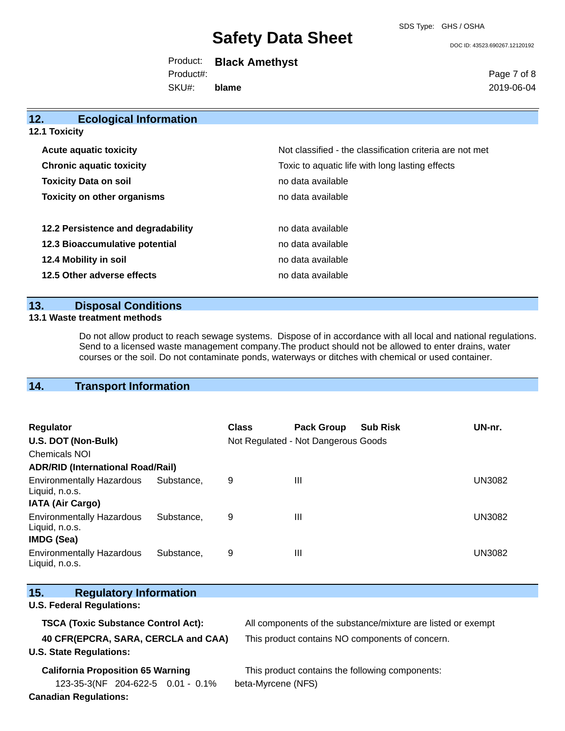SDS Type: GHS / OSHA

DOC ID: 43523.690267.12120192

Product: **Black Amethyst** SKU#: Product#: **blame**

Page 7 of 8 2019-06-04

| 12.<br><b>Ecological Information</b> |                                                          |
|--------------------------------------|----------------------------------------------------------|
| <b>12.1 Toxicity</b>                 |                                                          |
| <b>Acute aquatic toxicity</b>        | Not classified - the classification criteria are not met |
| <b>Chronic aquatic toxicity</b>      | Toxic to aquatic life with long lasting effects          |
| <b>Toxicity Data on soil</b>         | no data available                                        |
| <b>Toxicity on other organisms</b>   | no data available                                        |
| 12.2 Persistence and degradability   | no data available                                        |
| 12.3 Bioaccumulative potential       | no data available                                        |
| 12.4 Mobility in soil                | no data available                                        |
| 12.5 Other adverse effects           | no data available                                        |
|                                      |                                                          |

## **13. Disposal Conditions**

### **13.1 Waste treatment methods**

Do not allow product to reach sewage systems. Dispose of in accordance with all local and national regulations. Send to a licensed waste management company.The product should not be allowed to enter drains, water courses or the soil. Do not contaminate ponds, waterways or ditches with chemical or used container.

## **14. Transport Information**

| <b>Regulator</b><br>U.S. DOT (Non-Bulk)<br><b>Chemicals NOI</b>         |            | <b>Class</b> | <b>Pack Group</b><br>Not Regulated - Not Dangerous Goods | <b>Sub Risk</b> | UN-nr.        |
|-------------------------------------------------------------------------|------------|--------------|----------------------------------------------------------|-----------------|---------------|
| <b>ADR/RID (International Road/Rail)</b>                                |            |              |                                                          |                 |               |
| <b>Environmentally Hazardous</b><br>Liquid, n.o.s.                      | Substance. | 9            | Ш                                                        |                 | UN3082        |
| <b>IATA (Air Cargo)</b>                                                 |            |              |                                                          |                 |               |
| <b>Environmentally Hazardous</b><br>Liquid, n.o.s.<br><b>IMDG (Sea)</b> | Substance. | 9            | Ш                                                        |                 | <b>UN3082</b> |
| <b>Environmentally Hazardous</b><br>Liquid, n.o.s.                      | Substance. | 9            | Ш                                                        |                 | UN3082        |

| 15. | <b>Regulatory Information</b>              |                                                              |
|-----|--------------------------------------------|--------------------------------------------------------------|
|     | <b>U.S. Federal Regulations:</b>           |                                                              |
|     | <b>TSCA (Toxic Substance Control Act):</b> | All components of the substance/mixture are listed or exempt |
|     | 40 CFR(EPCRA, SARA, CERCLA and CAA)        | This product contains NO components of concern.              |
|     | <b>U.S. State Regulations:</b>             |                                                              |
|     | <b>California Proposition 65 Warning</b>   | This product contains the following components:              |
|     | 123-35-3(NF 204-622-5 0.01 - 0.1%          | beta-Myrcene (NFS)                                           |

**Canadian Regulations:**